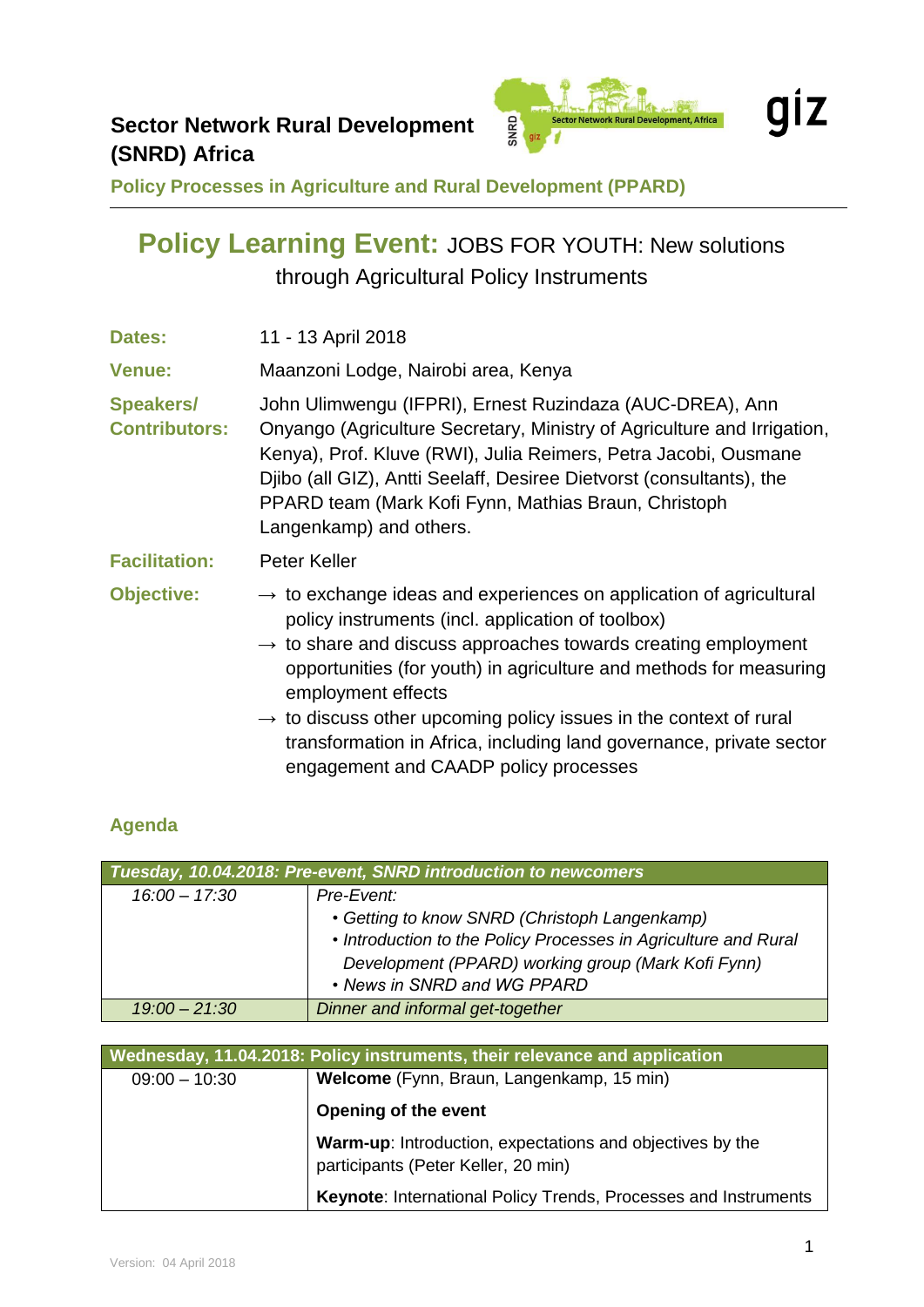



**Policy Processes in Agriculture and Rural Development (PPARD)**

## **Policy Learning Event: JOBS FOR YOUTH: New solutions** through Agricultural Policy Instruments

**Dates:** 11 - 13 April 2018

**Venue:** Maanzoni Lodge, Nairobi area, Kenya

- **Speakers/ Contributors:** John Ulimwengu (IFPRI), Ernest Ruzindaza (AUC-DREA), Ann Onyango (Agriculture Secretary, Ministry of Agriculture and Irrigation, Kenya), Prof. Kluve (RWI), Julia Reimers, Petra Jacobi, Ousmane Djibo (all GIZ), Antti Seelaff, Desiree Dietvorst (consultants), the PPARD team (Mark Kofi Fynn, Mathias Braun, Christoph Langenkamp) and others.
- **Facilitation:** Peter Keller

**Objective:** → to exchange ideas and experiences on application of agricultural policy instruments (incl. application of toolbox)

- $\rightarrow$  to share and discuss approaches towards creating employment opportunities (for youth) in agriculture and methods for measuring employment effects
- $\rightarrow$  to discuss other upcoming policy issues in the context of rural transformation in Africa, including land governance, private sector engagement and CAADP policy processes

## **Agenda**

| Tuesday, 10.04.2018: Pre-event, SNRD introduction to newcomers |                                                                 |
|----------------------------------------------------------------|-----------------------------------------------------------------|
| $16:00 - 17:30$                                                | Pre-Event:                                                      |
|                                                                | • Getting to know SNRD (Christoph Langenkamp)                   |
|                                                                | • Introduction to the Policy Processes in Agriculture and Rural |
|                                                                | Development (PPARD) working group (Mark Kofi Fynn)              |
|                                                                | • News in SNRD and WG PPARD                                     |
| $19:00 - 21:30$                                                | Dinner and informal get-together                                |

| Wednesday, 11.04.2018: Policy instruments, their relevance and application |                                                                                                         |
|----------------------------------------------------------------------------|---------------------------------------------------------------------------------------------------------|
| $09:00 - 10:30$                                                            | Welcome (Fynn, Braun, Langenkamp, 15 min)                                                               |
|                                                                            | Opening of the event                                                                                    |
|                                                                            | <b>Warm-up:</b> Introduction, expectations and objectives by the<br>participants (Peter Keller, 20 min) |
|                                                                            | Keynote: International Policy Trends, Processes and Instruments                                         |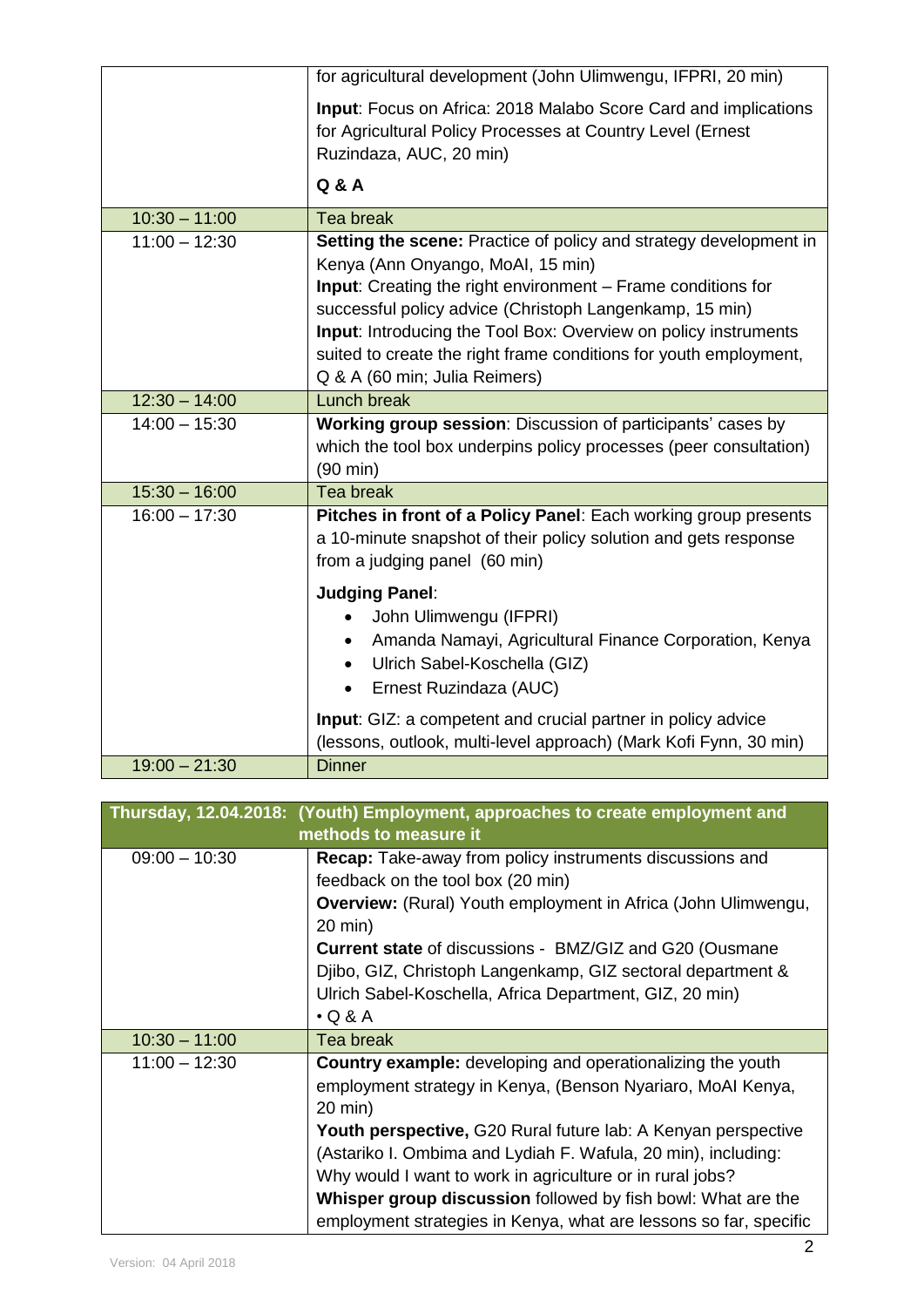|                 | for agricultural development (John Ulimwengu, IFPRI, 20 min)                                                                                                                                                                                                                                                                                                                                                      |
|-----------------|-------------------------------------------------------------------------------------------------------------------------------------------------------------------------------------------------------------------------------------------------------------------------------------------------------------------------------------------------------------------------------------------------------------------|
|                 | Input: Focus on Africa: 2018 Malabo Score Card and implications<br>for Agricultural Policy Processes at Country Level (Ernest<br>Ruzindaza, AUC, 20 min)                                                                                                                                                                                                                                                          |
|                 | Q & A                                                                                                                                                                                                                                                                                                                                                                                                             |
| $10:30 - 11:00$ | Tea break                                                                                                                                                                                                                                                                                                                                                                                                         |
| $11:00 - 12:30$ | Setting the scene: Practice of policy and strategy development in<br>Kenya (Ann Onyango, MoAI, 15 min)<br><b>Input:</b> Creating the right environment – Frame conditions for<br>successful policy advice (Christoph Langenkamp, 15 min)<br>Input: Introducing the Tool Box: Overview on policy instruments<br>suited to create the right frame conditions for youth employment,<br>Q & A (60 min; Julia Reimers) |
| $12:30 - 14:00$ | Lunch break                                                                                                                                                                                                                                                                                                                                                                                                       |
| $14:00 - 15:30$ | Working group session: Discussion of participants' cases by<br>which the tool box underpins policy processes (peer consultation)<br>$(90 \text{ min})$                                                                                                                                                                                                                                                            |
| $15:30 - 16:00$ | Tea break                                                                                                                                                                                                                                                                                                                                                                                                         |
| $16:00 - 17:30$ | Pitches in front of a Policy Panel: Each working group presents<br>a 10-minute snapshot of their policy solution and gets response<br>from a judging panel (60 min)                                                                                                                                                                                                                                               |
|                 | <b>Judging Panel:</b><br>John Ulimwengu (IFPRI)<br>$\bullet$<br>Amanda Namayi, Agricultural Finance Corporation, Kenya<br>Ulrich Sabel-Koschella (GIZ)<br>$\bullet$<br>Ernest Ruzindaza (AUC)                                                                                                                                                                                                                     |
|                 | Input: GIZ: a competent and crucial partner in policy advice<br>(lessons, outlook, multi-level approach) (Mark Kofi Fynn, 30 min)                                                                                                                                                                                                                                                                                 |
| $19:00 - 21:30$ | <b>Dinner</b>                                                                                                                                                                                                                                                                                                                                                                                                     |

| Thursday, 12.04.2018: (Youth) Employment, approaches to create employment and<br>methods to measure it |                                                                      |  |
|--------------------------------------------------------------------------------------------------------|----------------------------------------------------------------------|--|
| $09:00 - 10:30$                                                                                        | Recap: Take-away from policy instruments discussions and             |  |
|                                                                                                        | feedback on the tool box (20 min)                                    |  |
|                                                                                                        | <b>Overview:</b> (Rural) Youth employment in Africa (John Ulimwengu, |  |
|                                                                                                        | 20 min)                                                              |  |
|                                                                                                        | <b>Current state of discussions - BMZ/GIZ and G20 (Ousmane</b>       |  |
|                                                                                                        | Djibo, GIZ, Christoph Langenkamp, GIZ sectoral department &          |  |
|                                                                                                        | Ulrich Sabel-Koschella, Africa Department, GIZ, 20 min)              |  |
|                                                                                                        | $\cdot$ Q & A                                                        |  |
| $10:30 - 11:00$                                                                                        | Tea break                                                            |  |
| $11:00 - 12:30$                                                                                        | <b>Country example:</b> developing and operationalizing the youth    |  |
|                                                                                                        | employment strategy in Kenya, (Benson Nyariaro, MoAl Kenya,          |  |
|                                                                                                        | 20 min)                                                              |  |
|                                                                                                        | <b>Youth perspective, G20 Rural future lab: A Kenyan perspective</b> |  |
|                                                                                                        | (Astariko I. Ombima and Lydiah F. Wafula, 20 min), including:        |  |
|                                                                                                        | Why would I want to work in agriculture or in rural jobs?            |  |
|                                                                                                        | <b>Whisper group discussion followed by fish bowl: What are the</b>  |  |
|                                                                                                        | employment strategies in Kenya, what are lessons so far, specific    |  |